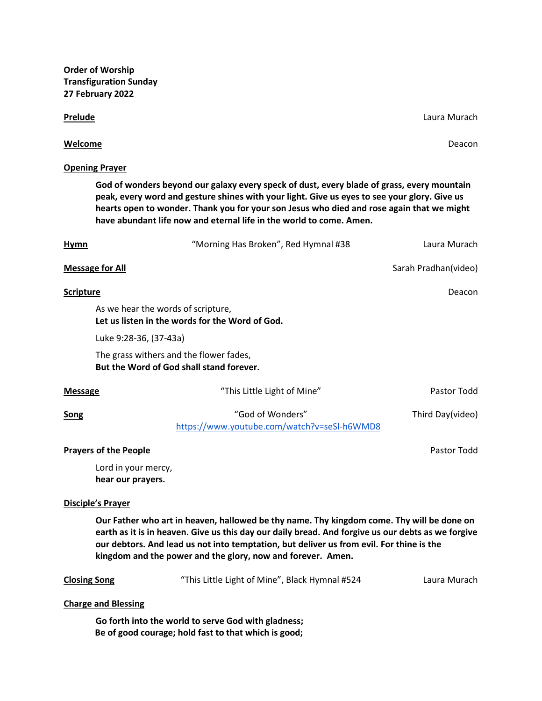**Order of Worship Transfiguration Sunday 27 February 2022**

#### **Prelude** Laura Murach **Prelude** Laura Murach **Communications** Communications and Laura Murach Laura Murach **Laura Murach**

### **Welcome** Deacon

### **Opening Prayer**

**God of wonders beyond our galaxy every speck of dust, every blade of grass, every mountain peak, every word and gesture shines with your light. Give us eyes to see your glory. Give us hearts open to wonder. Thank you for your son Jesus who died and rose again that we might have abundant life now and eternal life in the world to come. Amen.**

| <u>Hymn</u>      |                                                                                     | "Morning Has Broken", Red Hymnal #38                            | Laura Murach         |
|------------------|-------------------------------------------------------------------------------------|-----------------------------------------------------------------|----------------------|
|                  | <b>Message for All</b>                                                              |                                                                 | Sarah Pradhan(video) |
| <b>Scripture</b> |                                                                                     |                                                                 | Deacon               |
|                  | As we hear the words of scripture,                                                  | Let us listen in the words for the Word of God.                 |                      |
|                  | Luke 9:28-36, (37-43a)                                                              |                                                                 |                      |
|                  | The grass withers and the flower fades,<br>But the Word of God shall stand forever. |                                                                 |                      |
| <b>Message</b>   |                                                                                     | "This Little Light of Mine"                                     | Pastor Todd          |
| <b>Song</b>      |                                                                                     | "God of Wonders"<br>https://www.youtube.com/watch?v=seSI-h6WMD8 | Third Day(video)     |
|                  | <b>Prayers of the People</b>                                                        |                                                                 | Pastor Todd          |
|                  | Lord in your mercy,<br>hear our prayers.                                            |                                                                 |                      |

# **Disciple's Prayer**

**Our Father who art in heaven, hallowed be thy name. Thy kingdom come. Thy will be done on earth as it is in heaven. Give us this day our daily bread. And forgive us our debts as we forgive our debtors. And lead us not into temptation, but deliver us from evil. For thine is the kingdom and the power and the glory, now and forever. Amen.**

| <b>Closing Song</b> | "This Little Light of Mine", Black Hymnal #524 | Laura Murach |
|---------------------|------------------------------------------------|--------------|
|---------------------|------------------------------------------------|--------------|

#### **Charge and Blessing**

**Go forth into the world to serve God with gladness; Be of good courage; hold fast to that which is good;**